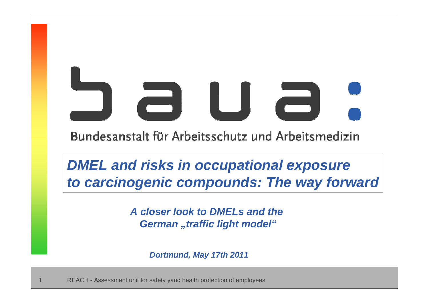Bundesanstalt für Arbeitsschutz und Arbeitsmedizin

*DMEL and risks in occupational exposure to carcinogenic compounds: The way forward*

U

*A closer look to DMELs and the* **German "traffic light model"** 

*Dortmund, May 17th 2011*

REACH - Assessment unit for safety yand health protection of employees

 $\overline{\phantom{a}}$ 

1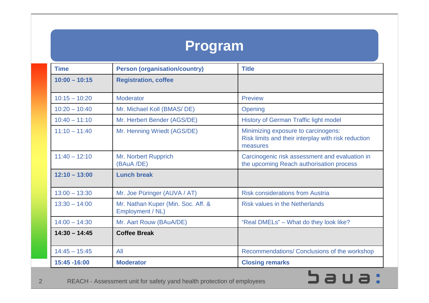# **Program**

| <b>Time</b>     | <b>Person (organisation/country)</b>                   | <b>Title</b>                                                                                           |
|-----------------|--------------------------------------------------------|--------------------------------------------------------------------------------------------------------|
| $10:00 - 10:15$ | <b>Registration, coffee</b>                            |                                                                                                        |
| $10:15 - 10:20$ | <b>Moderator</b>                                       | <b>Preview</b>                                                                                         |
| $10:20 - 10:40$ | Mr. Michael Koll (BMAS/ DE)                            | Opening                                                                                                |
| $10:40 - 11:10$ | Mr. Herbert Bender (AGS/DE)                            | <b>History of German Traffic light model</b>                                                           |
| $11:10 - 11:40$ | Mr. Henning Wriedt (AGS/DE)                            | Minimizing exposure to carcinogens:<br>Risk limits and their interplay with risk reduction<br>measures |
| $11:40 - 12:10$ | Mr. Norbert Rupprich<br>(BAuA /DE)                     | Carcinogenic risk assessment and evaluation in<br>the upcoming Reach authorisation process             |
| $12:10 - 13:00$ | <b>Lunch break</b>                                     |                                                                                                        |
| $13:00 - 13:30$ | Mr. Joe Püringer (AUVA / AT)                           | <b>Risk considerations from Austria</b>                                                                |
| $13:30 - 14:00$ | Mr. Nathan Kuper (Min. Soc. Aff. &<br>Employment / NL) | <b>Risk values in the Netherlands</b>                                                                  |
| $14:00 - 14:30$ | Mr. Aart Rouw (BAuA/DE)                                | "Real DMELs" – What do they look like?                                                                 |
| $14:30 - 14:45$ | <b>Coffee Break</b>                                    |                                                                                                        |
| $14:45 - 15:45$ | All                                                    | Recommendations/ Conclusions of the workshop                                                           |
| 15:45 - 16:00   | <b>Moderator</b>                                       | <b>Closing remarks</b>                                                                                 |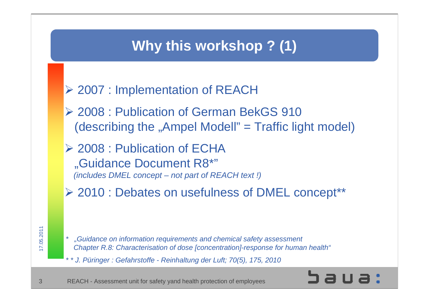### **Why this workshop ? (1)**

- ¾ 2007 : Implementation of REACH
- ¾ 2008 : Publication of German BekGS 910  $(descripting the, Ampel Model" = Traffic light model)$
- ¾ 2008 : Publication of ECHA "Guidance Document R8\*" *(includes DMEL concept – not part of REACH text !)*
- ¾ 2010 : Debates on usefulness of DMEL concept\*\*

- *\* "Guidance on information requirements and chemical safety assessment Chapter R.8: Characterisation of dose [concentration]-response for human health"*
- *\* \* J. Püringer : Gefahrstoffe - Reinhaltung der Luft; 70(5), 175, 2010*

REACH - Assessment unit for safety yand health protection of employees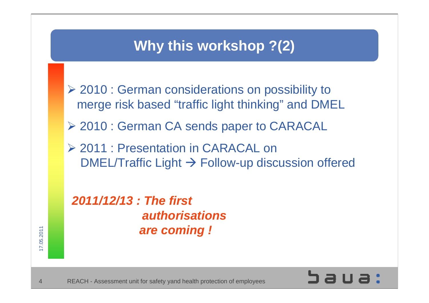## **Why this workshop ?(2)**

- ¾ 2010 : German considerations on possibility to merge risk based "traffic light thinking" and DMEL
- ¾ 2010 : German CA sends paper to CARACAL
- ¾ 2011 : Presentation in CARACAL on DMEL/Traffic Light  $\rightarrow$  Follow-up discussion offered

*2011/12/13 : The first authorisationsare coming !*

17.05.2011 7.05.2011

4

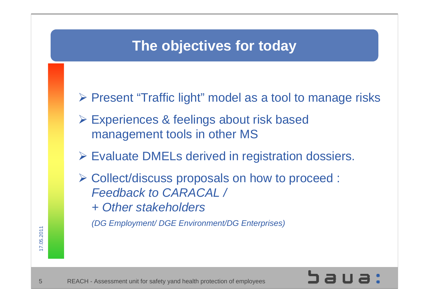### **The objectives for today**

- ¾ Present "Traffic light" model as a tool to manage risks
- ¾ Experiences & feelings about risk based management tools in other MS
- ¾ Evaluate DMELs derived in registration dossiers.
- ¾ Collect/discuss proposals on how to proceed : *Feedback to CARACAL / + Other stakeholders*

*(DG Employment/ DGE Environment/DG Enterprises)*



17.05.2011 7.05.2011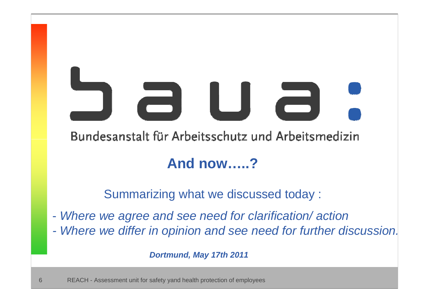Bundesanstalt für Arbeitsschutz und Arbeitsmedizin

## **And now…..?**

Summarizing what we discussed today :

-*Where we agree and see need for clarification/ action*

*- Where we differ in opinion and see need for further discussion.*

*Dortmund, May 17th 2011*

6REACH - Assessment unit for safety yand health protection of employees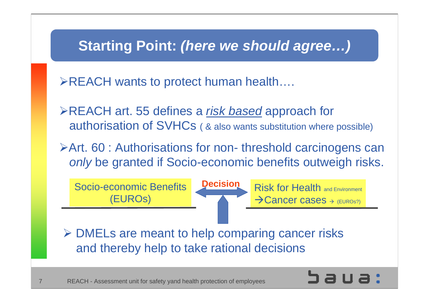### **Starting Point:** *(here we should agree…)*

¾REACH wants to protect human health….

- ¾REACH art. 55 defines a *risk based* approach for authorisation of SVHCs ( & also wants substitution where possible)
- **≻Art. 60 : Authorisations for non- threshold carcinogens can** *only* be granted if Socio-economic benefits outweigh risks.

Socio-economic Benefits (EUROs)

7

**Decision**

Risk for Health and Environment  $\rightarrow$  Cancer cases  $\rightarrow$  (EUROs?)

¾ DMELs are meant to help comparing cancer risks and thereby help to take rational decisions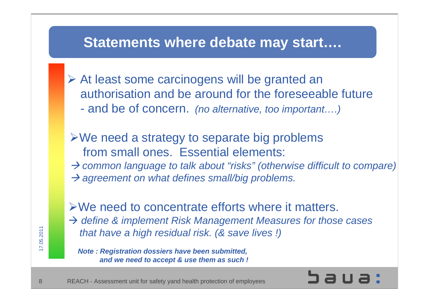#### **Statements where debate may start….**

- ¾ At least some carcinogens will be granted an authorisation and be around for the foreseeable futureand be of concern. *(no alternative, too important….)*
- $\triangleright$ We need a strategy to separate big problems from small ones. Essential elements: Æ *common language to talk about "risks" (otherwise difficult to compare)* A agreement on what defines small/big problems.

¾We need to concentrate efforts where it matters. → define & implement Risk Management Measures for those cases *that have a high residual risk. (& save lives !)*

*Note : Registration dossiers have been submitted, and we need to accept & use them as such !*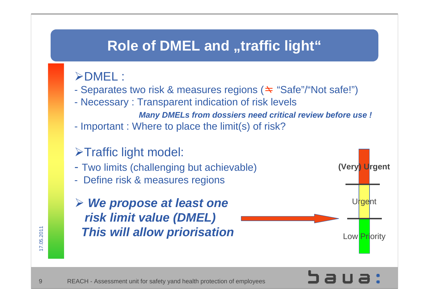### **Role of DMEL and "traffic light"**

#### ¾DMEL :

- Separates two risk & measures regions ( $\Leftarrow$  "Safe"/"Not safe!")
- Necessary : Transparent indication of risk levels

*Many DMELs from dossiers need critical review before use !*

Important : Where to place the limit(s) of risk?

#### $\triangleright$ Traffic light model:

- Two limits (challenging but achievable)
- Define risk & measures regions
- ¾ *We propose at least one risk limit value (DMEL) This will allow priorisation*



## REACH - Assessment unit for safety yand health protection of employees

9

 $\overline{\phantom{0}}$ 

 $\mathcal{N}$ 

7.05.2011

05.2011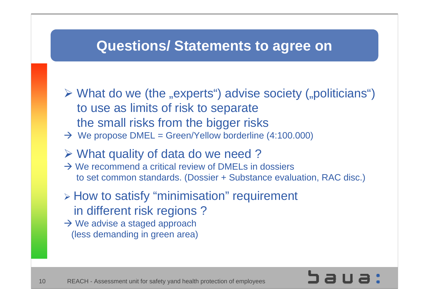#### **Questions/ Statements to agree on**

- $\triangleright$  What do we (the "experts") advise society ("politicians") to use as limits of risk to separate the small risks from the bigger risks
- $\rightarrow$  We propose DMEL = Green/Yellow borderline (4:100.000)
- ¾ What quality of data do we need ?
- $\rightarrow$  We recommend a critical review of DMELs in dossiers to set common standards. (Dossier + Substance evaluation, RAC disc.)
- ¾ How to satisfy "minimisation" requirement in different risk regions ?
- $\rightarrow$  We advise a staged approach (less demanding in green area)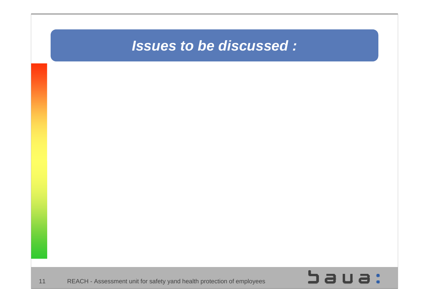#### *Issues to be discussed :*

11REACH - Assessment unit for safety yand health protection of employees

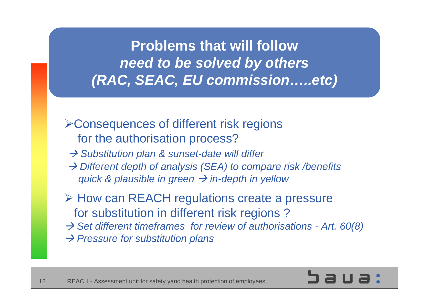**Problems that will follow***need to be solved by others (RAC, SEAC, EU commission…..etc)*

- ¾Consequences of different risk regions for the authorisation process?
- → Substitution plan & sunset-date will differ
- → Different depth of analysis (SEA) to compare risk /benefits *guick & plausible in green*  $\rightarrow$  *in-depth in yellow*
- ¾ How can REACH regulations create a pressure for substitution in different risk regions ?
- Æ *Set different timeframes for review of authorisations - Art. 60(8)*
- Æ *Pressure for substitution plans*